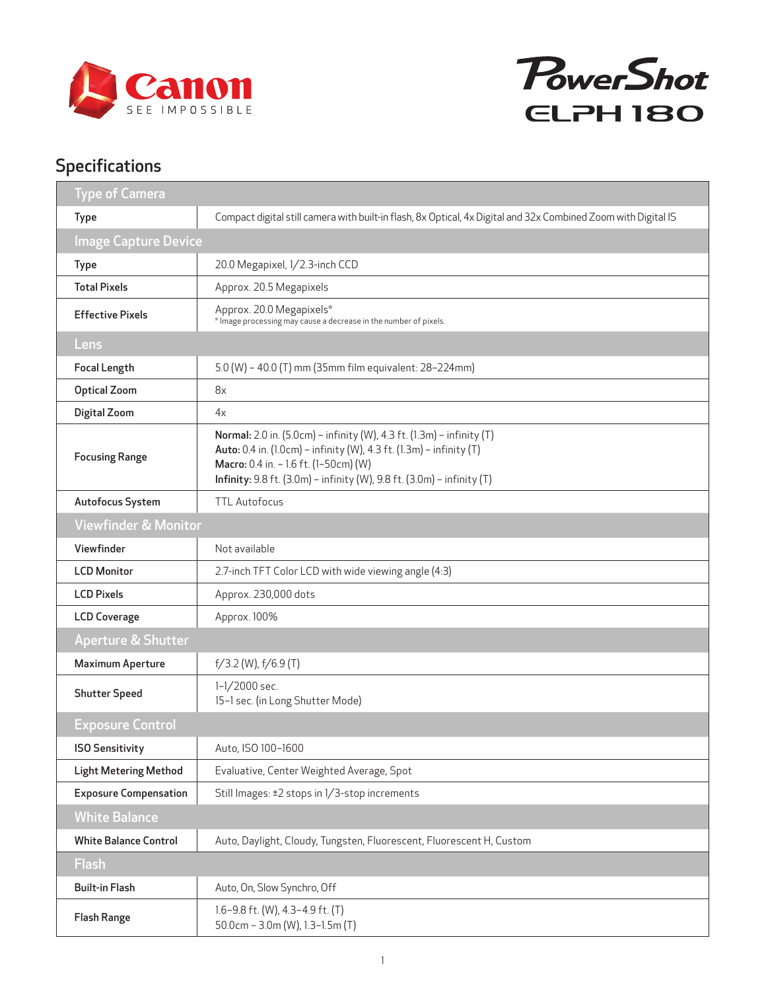



## Specifications

| <b>Type of Camera</b>           |                                                                                                                                                                                                                                                                 |
|---------------------------------|-----------------------------------------------------------------------------------------------------------------------------------------------------------------------------------------------------------------------------------------------------------------|
| <b>Type</b>                     | Compact digital still camera with built-in flash, 8x Optical, 4x Digital and 32x Combined Zoom with Digital IS                                                                                                                                                  |
| <b>Image Capture Device</b>     |                                                                                                                                                                                                                                                                 |
| Type                            | 20.0 Megapixel, 1/2.3-inch CCD                                                                                                                                                                                                                                  |
| <b>Total Pixels</b>             | Approx. 20.5 Megapixels                                                                                                                                                                                                                                         |
| <b>Effective Pixels</b>         | Approx. 20.0 Megapixels*<br>* Image processing may cause a decrease in the number of pixels.                                                                                                                                                                    |
| Lens                            |                                                                                                                                                                                                                                                                 |
| <b>Focal Length</b>             | 5.0 (W) - 40.0 (T) mm (35mm film equivalent: 28-224mm)                                                                                                                                                                                                          |
| <b>Optical Zoom</b>             | 8x                                                                                                                                                                                                                                                              |
| Digital Zoom                    | 4x                                                                                                                                                                                                                                                              |
| <b>Focusing Range</b>           | Normal: 2.0 in. (5.0cm) - infinity (W), 4.3 ft. (1.3m) - infinity (T)<br>Auto: 0.4 in. (1.0cm) - infinity (W), 4.3 ft. (1.3m) - infinity (T)<br>Macro: 0.4 in. - 1.6 ft. (1-50cm) (W)<br>Infinity: 9.8 ft. (3.0m) - infinity (W), 9.8 ft. (3.0m) - infinity (T) |
| Autofocus System                | <b>TTL Autofocus</b>                                                                                                                                                                                                                                            |
| <b>Viewfinder &amp; Monitor</b> |                                                                                                                                                                                                                                                                 |
| Viewfinder                      | Not available                                                                                                                                                                                                                                                   |
| <b>LCD Monitor</b>              | 2.7-inch TFT Color LCD with wide viewing angle (4:3)                                                                                                                                                                                                            |
| <b>LCD Pixels</b>               | Approx. 230,000 dots                                                                                                                                                                                                                                            |
| <b>LCD Coverage</b>             | Approx. 100%                                                                                                                                                                                                                                                    |
| <b>Aperture &amp; Shutter</b>   |                                                                                                                                                                                                                                                                 |
| <b>Maximum Aperture</b>         | $f/3.2$ (W), $f/6.9$ (T)                                                                                                                                                                                                                                        |
| <b>Shutter Speed</b>            | 1-1/2000 sec.<br>15-1 sec. (in Long Shutter Mode)                                                                                                                                                                                                               |
| <b>Exposure Control</b>         |                                                                                                                                                                                                                                                                 |
| <b>ISO Sensitivity</b>          | Auto, ISO 100-1600                                                                                                                                                                                                                                              |
| <b>Light Metering Method</b>    | Evaluative, Center Weighted Average, Spot                                                                                                                                                                                                                       |
| <b>Exposure Compensation</b>    | Still Images: ±2 stops in 1/3-stop increments                                                                                                                                                                                                                   |
| <b>White Balance</b>            |                                                                                                                                                                                                                                                                 |
| <b>White Balance Control</b>    | Auto, Daylight, Cloudy, Tungsten, Fluorescent, Fluorescent H, Custom                                                                                                                                                                                            |
| <b>Flash</b>                    |                                                                                                                                                                                                                                                                 |
| <b>Built-in Flash</b>           | Auto, On, Slow Synchro, Off                                                                                                                                                                                                                                     |
| <b>Flash Range</b>              | 1.6-9.8 ft. (W), 4.3-4.9 ft. (T)<br>50.0cm - 3.0m (W), 1.3-1.5m (T)                                                                                                                                                                                             |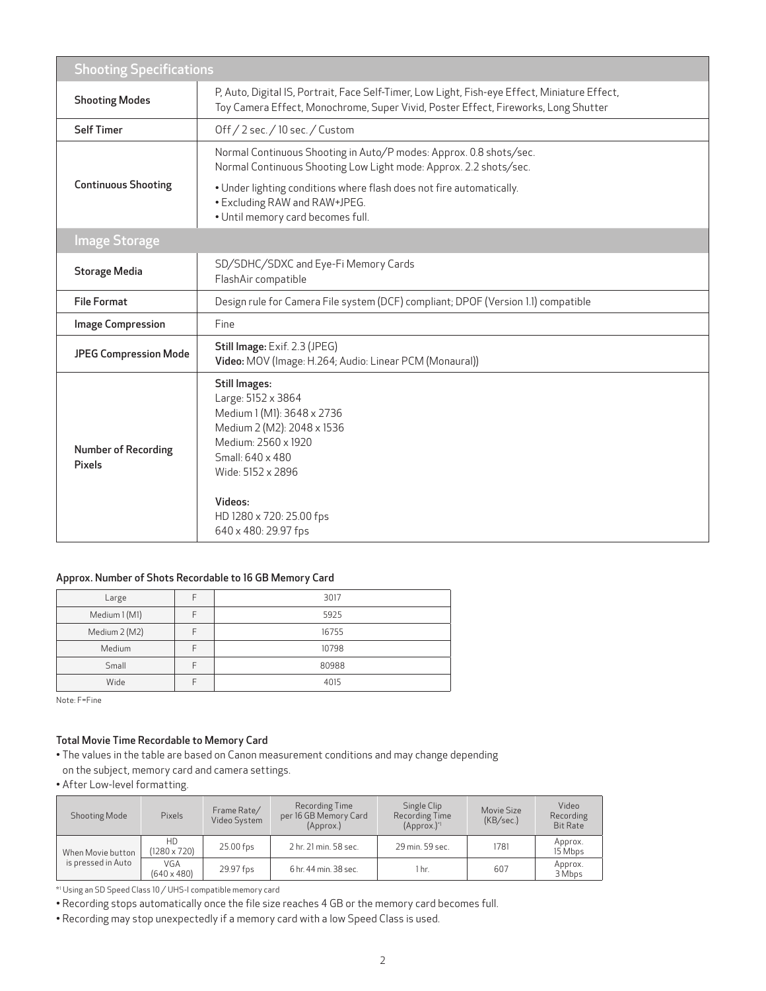| <b>Shooting Specifications</b>       |                                                                                                                                                                                                                                       |  |  |  |
|--------------------------------------|---------------------------------------------------------------------------------------------------------------------------------------------------------------------------------------------------------------------------------------|--|--|--|
| <b>Shooting Modes</b>                | P, Auto, Digital IS, Portrait, Face Self-Timer, Low Light, Fish-eye Effect, Miniature Effect,<br>Toy Camera Effect, Monochrome, Super Vivid, Poster Effect, Fireworks, Long Shutter                                                   |  |  |  |
| <b>Self Timer</b>                    | Off / 2 sec. / 10 sec. / Custom                                                                                                                                                                                                       |  |  |  |
| <b>Continuous Shooting</b>           | Normal Continuous Shooting in Auto/P modes: Approx. 0.8 shots/sec.<br>Normal Continuous Shooting Low Light mode: Approx. 2.2 shots/sec.                                                                                               |  |  |  |
|                                      | . Under lighting conditions where flash does not fire automatically.<br>• Excluding RAW and RAW+JPEG.<br>· Until memory card becomes full.                                                                                            |  |  |  |
| <b>Image Storage</b>                 |                                                                                                                                                                                                                                       |  |  |  |
| <b>Storage Media</b>                 | SD/SDHC/SDXC and Eye-Fi Memory Cards<br>FlashAir compatible                                                                                                                                                                           |  |  |  |
| <b>File Format</b>                   | Design rule for Camera File system (DCF) compliant; DPOF (Version 1.1) compatible                                                                                                                                                     |  |  |  |
| <b>Image Compression</b>             | Fine                                                                                                                                                                                                                                  |  |  |  |
| <b>JPEG Compression Mode</b>         | Still Image: Exif. 2.3 (JPEG)<br>Video: MOV (Image: H.264; Audio: Linear PCM (Monaural))                                                                                                                                              |  |  |  |
| <b>Number of Recording</b><br>Pixels | <b>Still Images:</b><br>Large: 5152 x 3864<br>Medium 1 (M1): 3648 x 2736<br>Medium 2 (M2): 2048 x 1536<br>Medium: 2560 x 1920<br>Small: 640 x 480<br>Wide: 5152 x 2896<br>Videos:<br>HD 1280 x 720: 25.00 fps<br>640 x 480: 29.97 fps |  |  |  |

## Approx. Number of Shots Recordable to 16 GB Memory Card

| Large         | 3017  |
|---------------|-------|
| Medium 1 (M1) | 5925  |
| Medium 2 (M2) | 16755 |
| Medium        | 10798 |
| Small         | 80988 |
| Wide          | 4015  |

Note: F=Fine

## Total Movie Time Recordable to Memory Card

• The values in the table are based on Canon measurement conditions and may change depending on the subject, memory card and camera settings.

• After Low-level formatting.

| <b>Shooting Mode</b>                    | Pixels                    | Frame Rate/<br>Video System | Recording Time<br>per 16 GB Memory Card<br>(Approx.) | Single Clip<br>Recording Time<br>$(Approx.)^{\ast}$ | Movie Size<br>(KB/sec.) | Video<br>Recording<br><b>Bit Rate</b> |
|-----------------------------------------|---------------------------|-----------------------------|------------------------------------------------------|-----------------------------------------------------|-------------------------|---------------------------------------|
| When Movie button<br>is pressed in Auto | HD<br>$(1280 \times 720)$ | 25.00 fps                   | 2 hr. 21 min. 58 sec.                                | 29 min. 59 sec.                                     | 1781                    | Approx.<br>15 Mbps                    |
|                                         | VGA<br>$(640 \times 480)$ | 29.97 fps                   | 6 hr. 44 min. 38 sec.                                | 1 hr.                                               | 607                     | Approx.<br>3 Mbps                     |

\*1 Using an SD Speed Class 10 / UHS-I compatible memory card

• Recording stops automatically once the file size reaches 4 GB or the memory card becomes full.

• Recording may stop unexpectedly if a memory card with a low Speed Class is used.